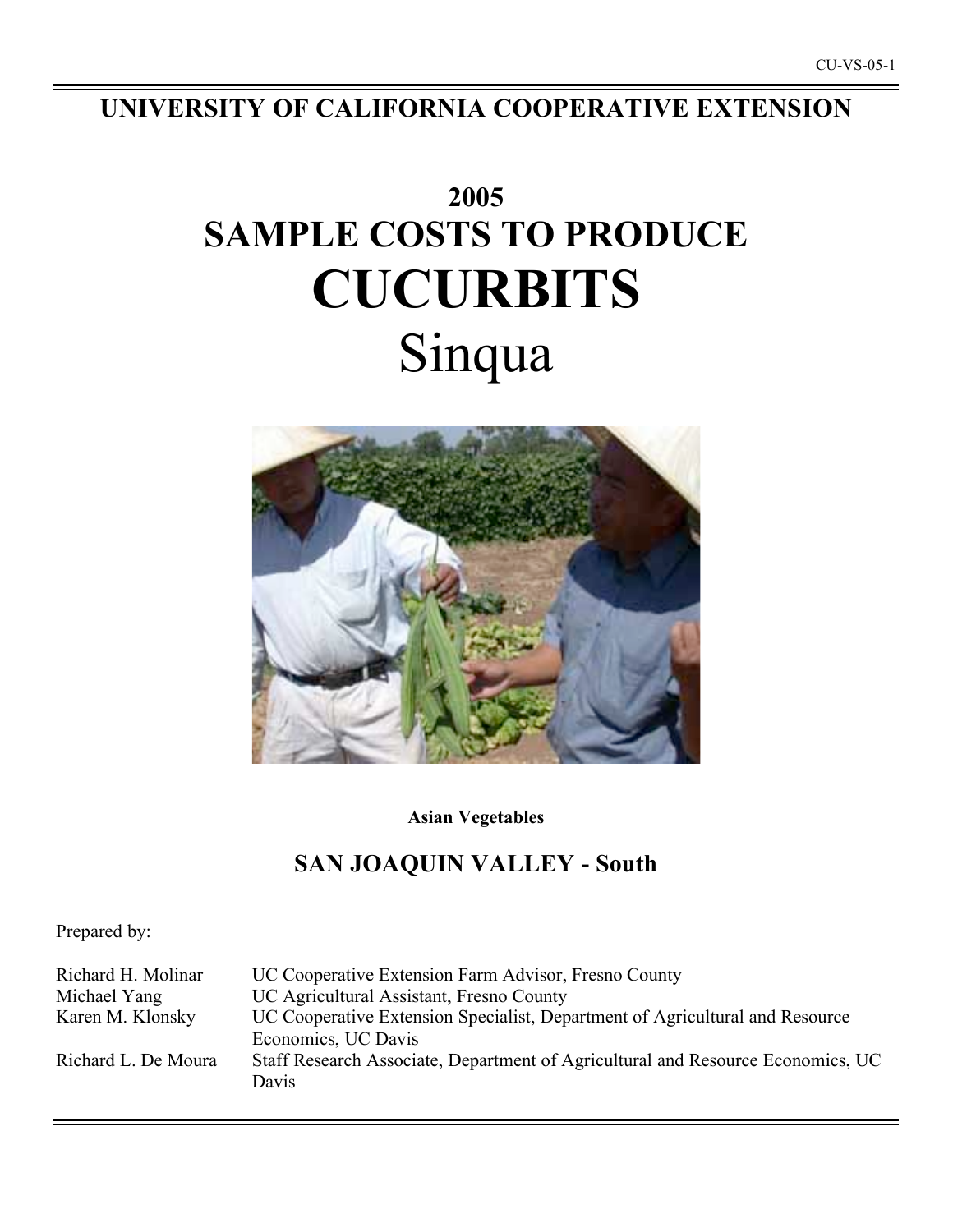**UNIVERSITY OF CALIFORNIA COOPERATIVE EXTENSION**

# **2005 SAMPLE COSTS TO PRODUCE CUCURBITS** Sinqua



**Asian Vegetables**

## **SAN JOAQUIN VALLEY - South**

Prepared by:

| Richard H. Molinar  | UC Cooperative Extension Farm Advisor, Fresno County                            |
|---------------------|---------------------------------------------------------------------------------|
| Michael Yang        | UC Agricultural Assistant, Fresno County                                        |
| Karen M. Klonsky    | UC Cooperative Extension Specialist, Department of Agricultural and Resource    |
|                     | Economics, UC Davis                                                             |
| Richard L. De Moura | Staff Research Associate, Department of Agricultural and Resource Economics, UC |
|                     | Davis                                                                           |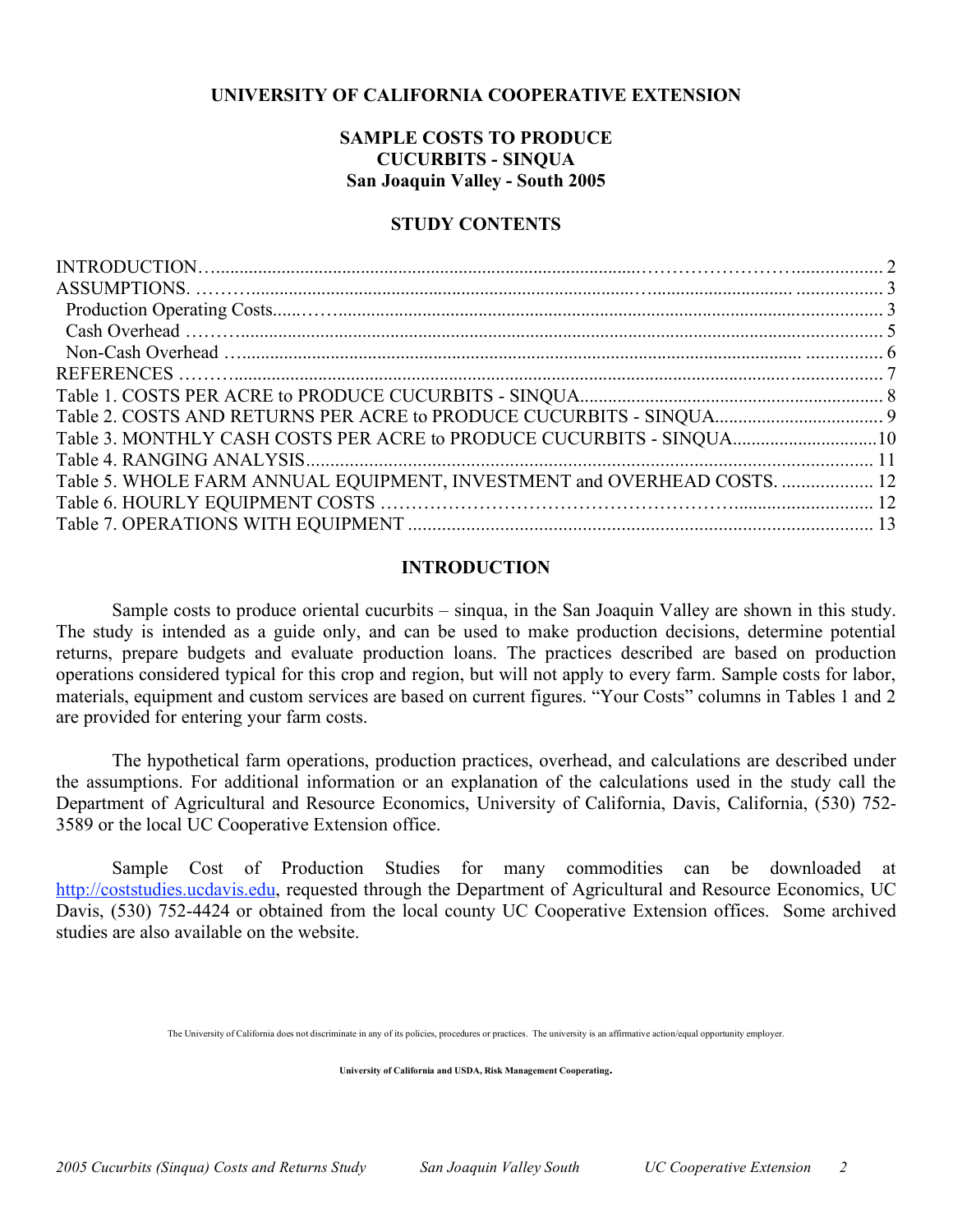## **UNIVERSITY OF CALIFORNIA COOPERATIVE EXTENSION**

## **SAMPLE COSTS TO PRODUCE CUCURBITS - SINQUA San Joaquin Valley - South 2005**

## **STUDY CONTENTS**

| Table 3. MONTHLY CASH COSTS PER ACRE to PRODUCE CUCURBITS - SINQUA10     |  |
|--------------------------------------------------------------------------|--|
|                                                                          |  |
| Table 5. WHOLE FARM ANNUAL EQUIPMENT, INVESTMENT and OVERHEAD COSTS.  12 |  |
|                                                                          |  |
|                                                                          |  |
|                                                                          |  |

## **INTRODUCTION**

Sample costs to produce oriental cucurbits – sinqua, in the San Joaquin Valley are shown in this study. The study is intended as a guide only, and can be used to make production decisions, determine potential returns, prepare budgets and evaluate production loans. The practices described are based on production operations considered typical for this crop and region, but will not apply to every farm. Sample costs for labor, materials, equipment and custom services are based on current figures. "Your Costs" columns in Tables 1 and 2 are provided for entering your farm costs.

The hypothetical farm operations, production practices, overhead, and calculations are described under the assumptions. For additional information or an explanation of the calculations used in the study call the Department of Agricultural and Resource Economics, University of California, Davis, California, (530) 752- 3589 or the local UC Cooperative Extension office.

Sample Cost of Production Studies for many commodities can be downloaded at http://coststudies.ucdavis.edu, requested through the Department of Agricultural and Resource Economics, UC Davis, (530) 752-4424 or obtained from the local county UC Cooperative Extension offices. Some archived studies are also available on the website.

The University of California does not discriminate in any of its policies, procedures or practices. The university is an affirmative action/equal opportunity employer.

**University of California and USDA, Risk Management Cooperating.**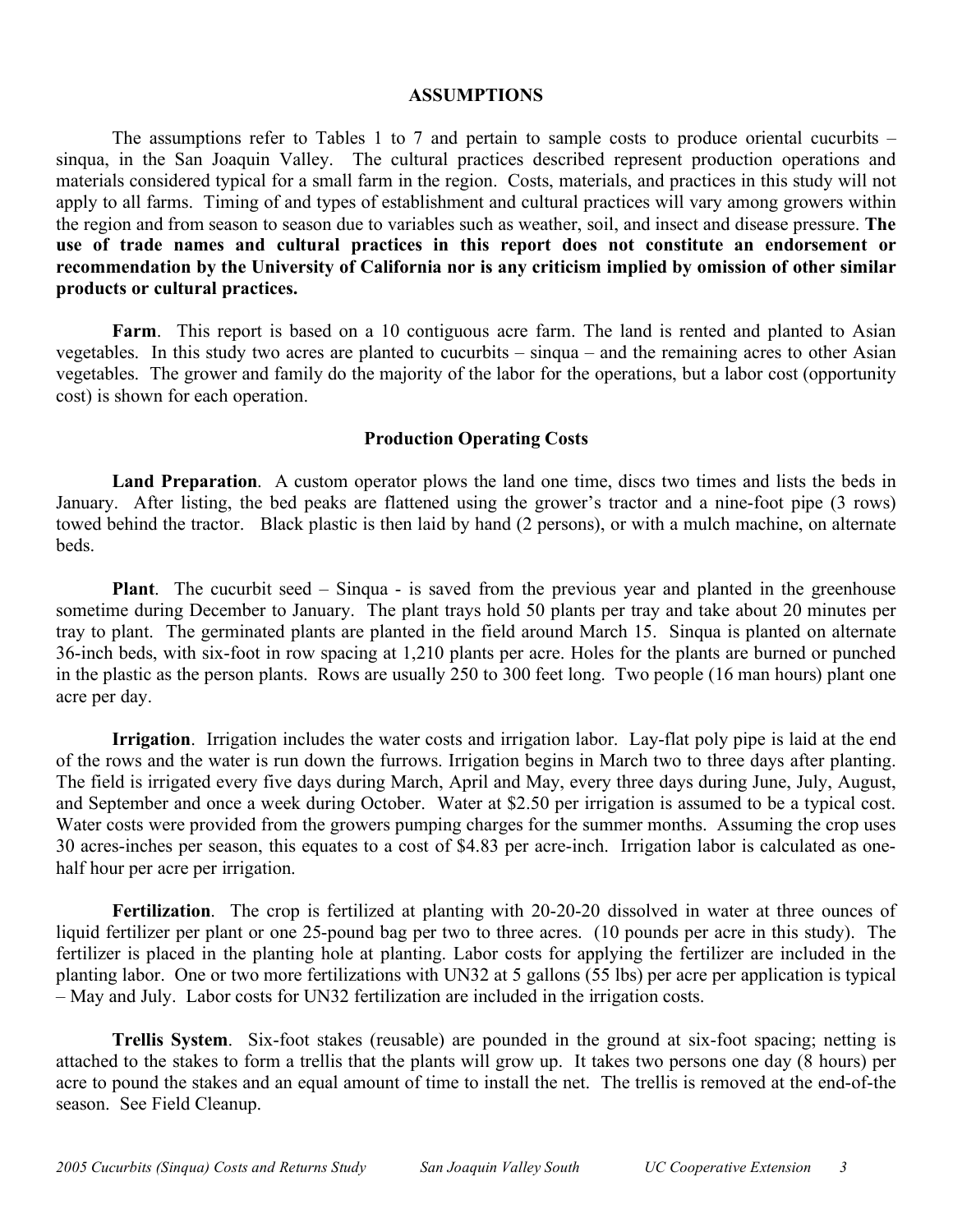## **ASSUMPTIONS**

The assumptions refer to Tables 1 to 7 and pertain to sample costs to produce oriental cucurbits – sinqua, in the San Joaquin Valley. The cultural practices described represent production operations and materials considered typical for a small farm in the region. Costs, materials, and practices in this study will not apply to all farms. Timing of and types of establishment and cultural practices will vary among growers within the region and from season to season due to variables such as weather, soil, and insect and disease pressure. **The use of trade names and cultural practices in this report does not constitute an endorsement or recommendation by the University of California nor is any criticism implied by omission of other similar products or cultural practices.**

Farm. This report is based on a 10 contiguous acre farm. The land is rented and planted to Asian vegetables. In this study two acres are planted to cucurbits – sinqua – and the remaining acres to other Asian vegetables. The grower and family do the majority of the labor for the operations, but a labor cost (opportunity cost) is shown for each operation.

## **Production Operating Costs**

**Land Preparation**. A custom operator plows the land one time, discs two times and lists the beds in January. After listing, the bed peaks are flattened using the grower's tractor and a nine-foot pipe (3 rows) towed behind the tractor. Black plastic is then laid by hand (2 persons), or with a mulch machine, on alternate beds.

**Plant**. The cucurbit seed – Sinqua - is saved from the previous year and planted in the greenhouse sometime during December to January. The plant trays hold 50 plants per tray and take about 20 minutes per tray to plant. The germinated plants are planted in the field around March 15. Sinqua is planted on alternate 36-inch beds, with six-foot in row spacing at 1,210 plants per acre. Holes for the plants are burned or punched in the plastic as the person plants. Rows are usually 250 to 300 feet long. Two people (16 man hours) plant one acre per day.

**Irrigation**. Irrigation includes the water costs and irrigation labor. Lay-flat poly pipe is laid at the end of the rows and the water is run down the furrows. Irrigation begins in March two to three days after planting. The field is irrigated every five days during March, April and May, every three days during June, July, August, and September and once a week during October. Water at \$2.50 per irrigation is assumed to be a typical cost. Water costs were provided from the growers pumping charges for the summer months. Assuming the crop uses 30 acres-inches per season, this equates to a cost of \$4.83 per acre-inch. Irrigation labor is calculated as onehalf hour per acre per irrigation.

**Fertilization**. The crop is fertilized at planting with 20-20-20 dissolved in water at three ounces of liquid fertilizer per plant or one 25-pound bag per two to three acres. (10 pounds per acre in this study). The fertilizer is placed in the planting hole at planting. Labor costs for applying the fertilizer are included in the planting labor. One or two more fertilizations with UN32 at 5 gallons (55 lbs) per acre per application is typical – May and July. Labor costs for UN32 fertilization are included in the irrigation costs.

**Trellis System**. Six-foot stakes (reusable) are pounded in the ground at six-foot spacing; netting is attached to the stakes to form a trellis that the plants will grow up. It takes two persons one day (8 hours) per acre to pound the stakes and an equal amount of time to install the net. The trellis is removed at the end-of-the season. See Field Cleanup.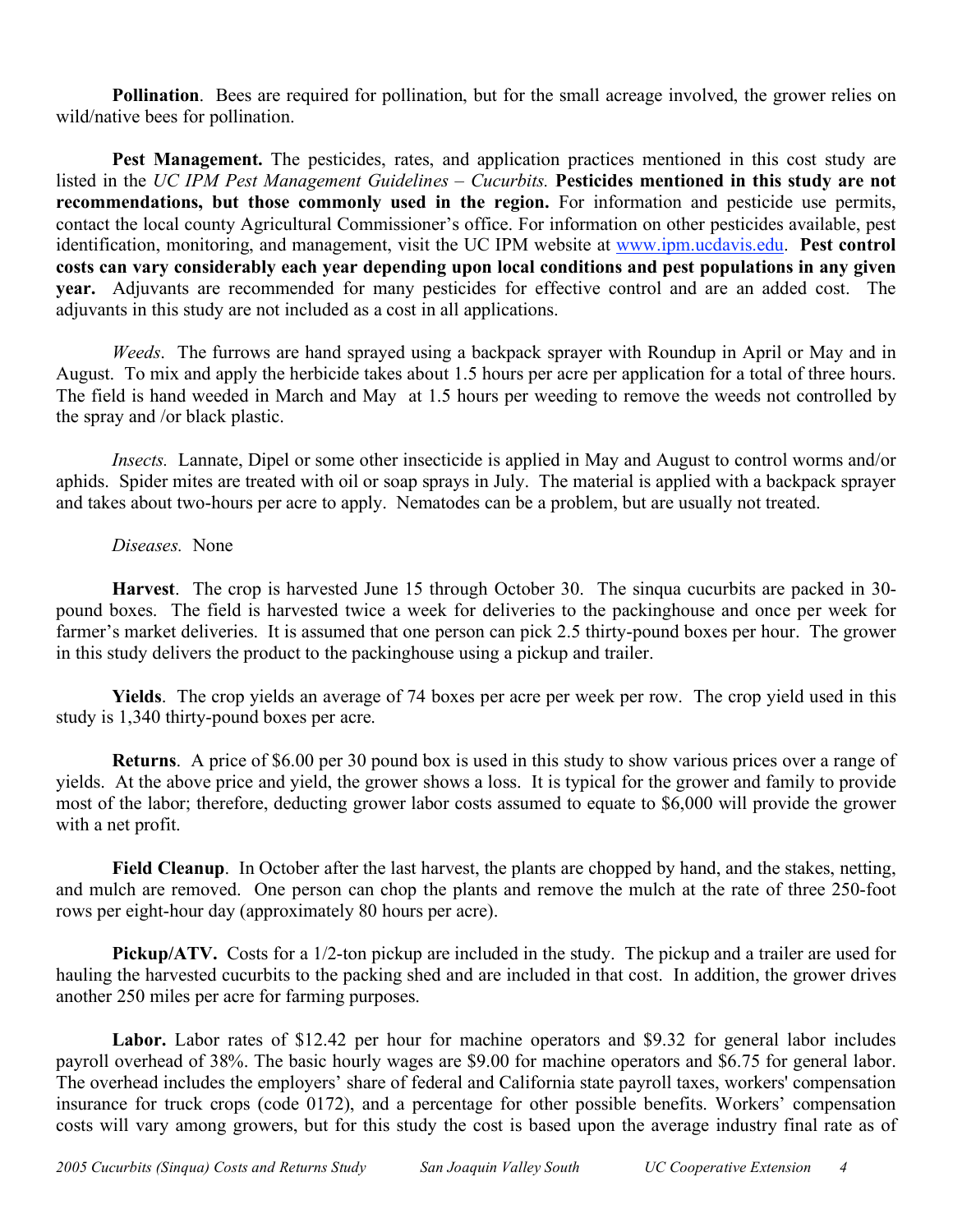**Pollination.** Bees are required for pollination, but for the small acreage involved, the grower relies on wild/native bees for pollination.

**Pest Management.** The pesticides, rates, and application practices mentioned in this cost study are listed in the *UC IPM Pest Management Guidelines – Cucurbits.* **Pesticides mentioned in this study are not recommendations, but those commonly used in the region.** For information and pesticide use permits, contact the local county Agricultural Commissioner's office. For information on other pesticides available, pest identification, monitoring, and management, visit the UC IPM website at www.ipm.ucdavis.edu. **Pest control costs can vary considerably each year depending upon local conditions and pest populations in any given year.** Adjuvants are recommended for many pesticides for effective control and are an added cost. The adjuvants in this study are not included as a cost in all applications.

*Weeds*. The furrows are hand sprayed using a backpack sprayer with Roundup in April or May and in August. To mix and apply the herbicide takes about 1.5 hours per acre per application for a total of three hours. The field is hand weeded in March and May at 1.5 hours per weeding to remove the weeds not controlled by the spray and /or black plastic.

*Insects.* Lannate, Dipel or some other insecticide is applied in May and August to control worms and/or aphids. Spider mites are treated with oil or soap sprays in July. The material is applied with a backpack sprayer and takes about two-hours per acre to apply. Nematodes can be a problem, but are usually not treated.

## *Diseases.* None

**Harvest**. The crop is harvested June 15 through October 30. The sinqua cucurbits are packed in 30 pound boxes. The field is harvested twice a week for deliveries to the packinghouse and once per week for farmer's market deliveries. It is assumed that one person can pick 2.5 thirty-pound boxes per hour. The grower in this study delivers the product to the packinghouse using a pickup and trailer.

**Yields**. The crop yields an average of 74 boxes per acre per week per row. The crop yield used in this study is 1,340 thirty-pound boxes per acre.

**Returns**. A price of \$6.00 per 30 pound box is used in this study to show various prices over a range of yields. At the above price and yield, the grower shows a loss. It is typical for the grower and family to provide most of the labor; therefore, deducting grower labor costs assumed to equate to \$6,000 will provide the grower with a net profit.

**Field Cleanup**. In October after the last harvest, the plants are chopped by hand, and the stakes, netting, and mulch are removed. One person can chop the plants and remove the mulch at the rate of three 250-foot rows per eight-hour day (approximately 80 hours per acre).

**Pickup/ATV.** Costs for a 1/2-ton pickup are included in the study. The pickup and a trailer are used for hauling the harvested cucurbits to the packing shed and are included in that cost. In addition, the grower drives another 250 miles per acre for farming purposes.

**Labor.** Labor rates of \$12.42 per hour for machine operators and \$9.32 for general labor includes payroll overhead of 38%. The basic hourly wages are \$9.00 for machine operators and \$6.75 for general labor. The overhead includes the employers' share of federal and California state payroll taxes, workers' compensation insurance for truck crops (code 0172), and a percentage for other possible benefits. Workers' compensation costs will vary among growers, but for this study the cost is based upon the average industry final rate as of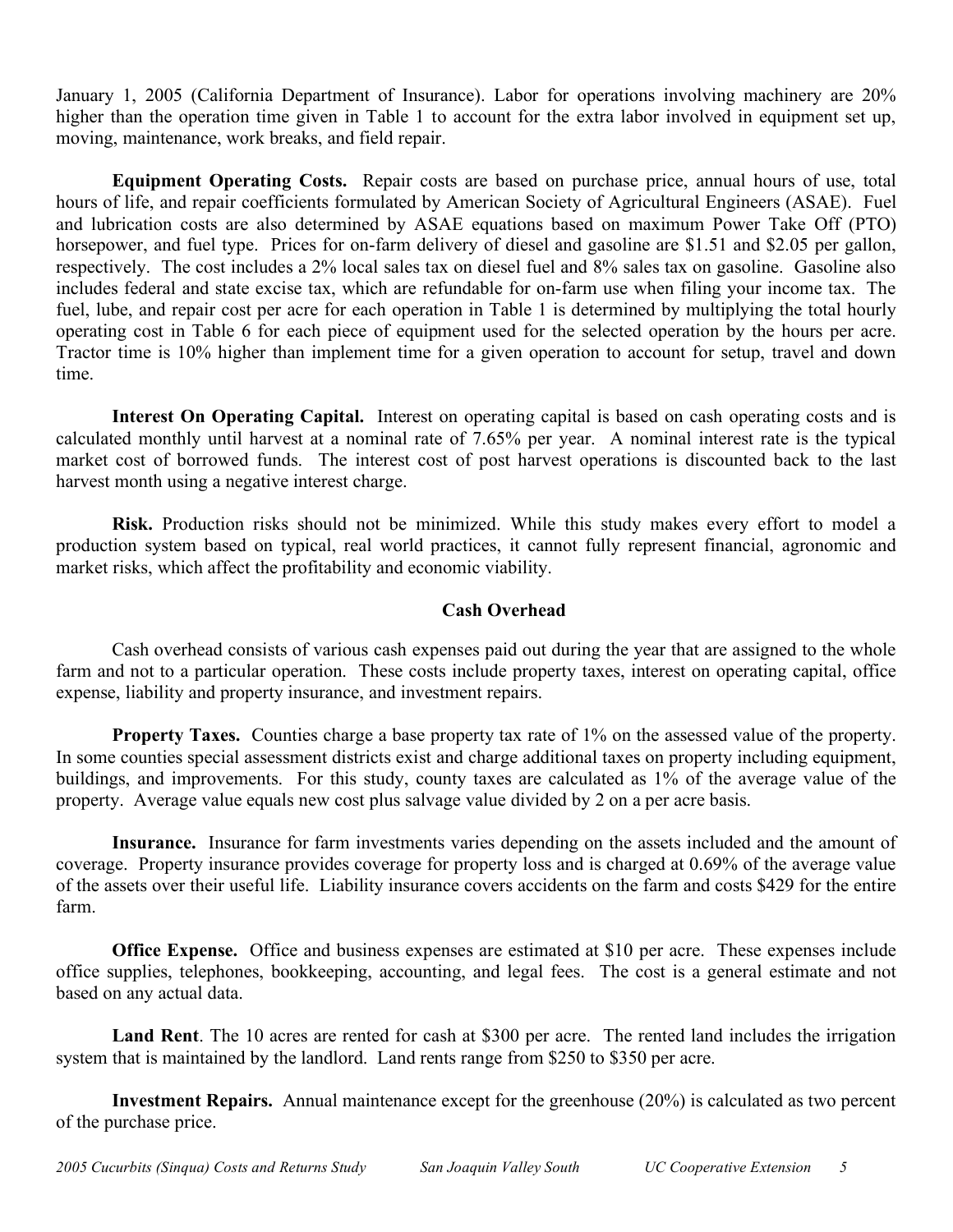January 1, 2005 (California Department of Insurance). Labor for operations involving machinery are 20% higher than the operation time given in Table 1 to account for the extra labor involved in equipment set up, moving, maintenance, work breaks, and field repair.

**Equipment Operating Costs.** Repair costs are based on purchase price, annual hours of use, total hours of life, and repair coefficients formulated by American Society of Agricultural Engineers (ASAE). Fuel and lubrication costs are also determined by ASAE equations based on maximum Power Take Off (PTO) horsepower, and fuel type. Prices for on-farm delivery of diesel and gasoline are \$1.51 and \$2.05 per gallon, respectively. The cost includes a 2% local sales tax on diesel fuel and 8% sales tax on gasoline. Gasoline also includes federal and state excise tax, which are refundable for on-farm use when filing your income tax. The fuel, lube, and repair cost per acre for each operation in Table 1 is determined by multiplying the total hourly operating cost in Table 6 for each piece of equipment used for the selected operation by the hours per acre. Tractor time is 10% higher than implement time for a given operation to account for setup, travel and down time.

**Interest On Operating Capital.** Interest on operating capital is based on cash operating costs and is calculated monthly until harvest at a nominal rate of 7.65% per year. A nominal interest rate is the typical market cost of borrowed funds. The interest cost of post harvest operations is discounted back to the last harvest month using a negative interest charge.

**Risk.** Production risks should not be minimized. While this study makes every effort to model a production system based on typical, real world practices, it cannot fully represent financial, agronomic and market risks, which affect the profitability and economic viability.

## **Cash Overhead**

Cash overhead consists of various cash expenses paid out during the year that are assigned to the whole farm and not to a particular operation. These costs include property taxes, interest on operating capital, office expense, liability and property insurance, and investment repairs.

**Property Taxes.** Counties charge a base property tax rate of 1% on the assessed value of the property. In some counties special assessment districts exist and charge additional taxes on property including equipment, buildings, and improvements. For this study, county taxes are calculated as 1% of the average value of the property. Average value equals new cost plus salvage value divided by 2 on a per acre basis.

**Insurance.** Insurance for farm investments varies depending on the assets included and the amount of coverage. Property insurance provides coverage for property loss and is charged at 0.69% of the average value of the assets over their useful life. Liability insurance covers accidents on the farm and costs \$429 for the entire farm.

**Office Expense.** Office and business expenses are estimated at \$10 per acre. These expenses include office supplies, telephones, bookkeeping, accounting, and legal fees. The cost is a general estimate and not based on any actual data.

**Land Rent**. The 10 acres are rented for cash at \$300 per acre. The rented land includes the irrigation system that is maintained by the landlord. Land rents range from \$250 to \$350 per acre.

**Investment Repairs.** Annual maintenance except for the greenhouse (20%) is calculated as two percent of the purchase price.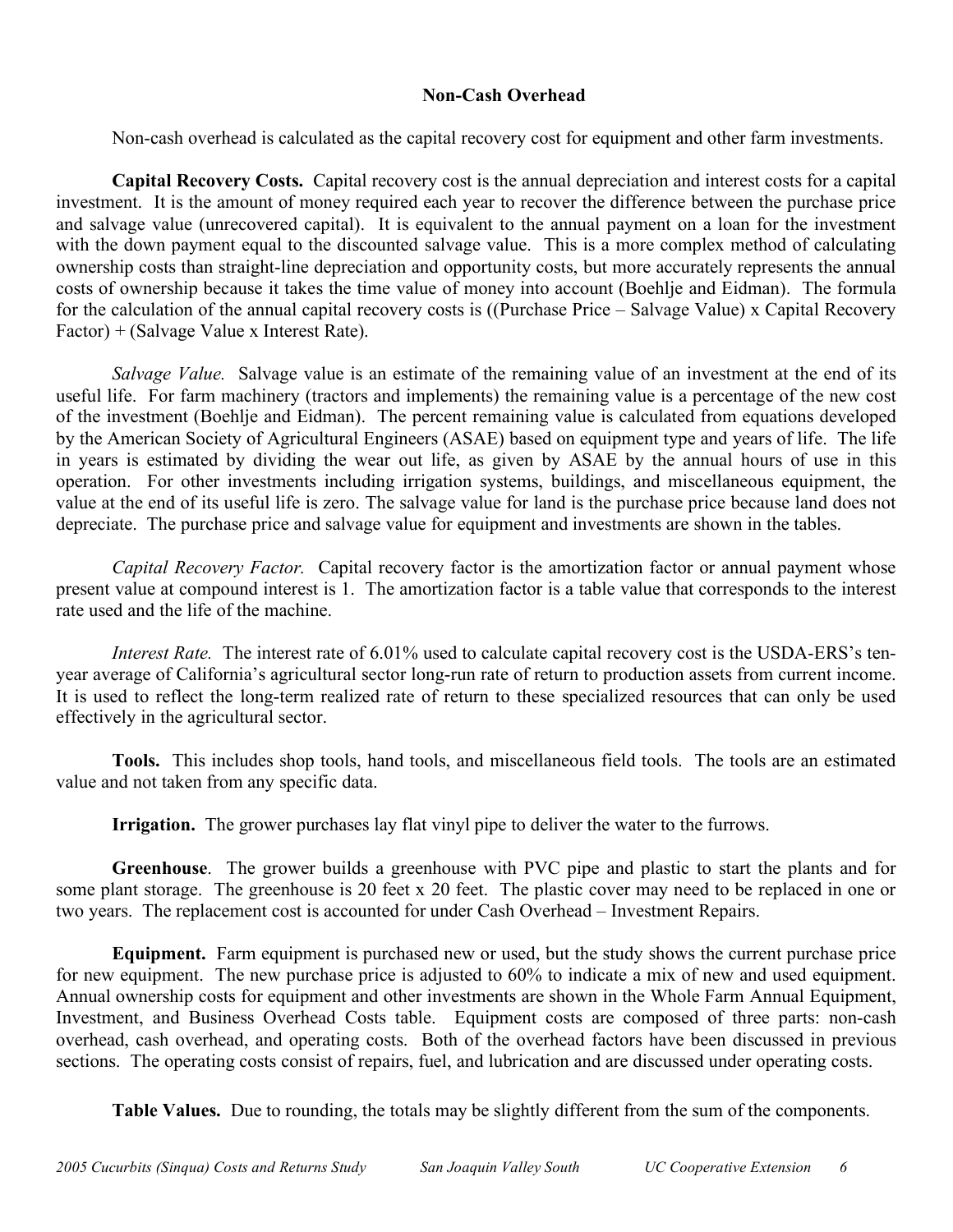## **Non-Cash Overhead**

Non-cash overhead is calculated as the capital recovery cost for equipment and other farm investments.

**Capital Recovery Costs.** Capital recovery cost is the annual depreciation and interest costs for a capital investment. It is the amount of money required each year to recover the difference between the purchase price and salvage value (unrecovered capital). It is equivalent to the annual payment on a loan for the investment with the down payment equal to the discounted salvage value. This is a more complex method of calculating ownership costs than straight-line depreciation and opportunity costs, but more accurately represents the annual costs of ownership because it takes the time value of money into account (Boehlje and Eidman). The formula for the calculation of the annual capital recovery costs is ((Purchase Price – Salvage Value) x Capital Recovery Factor) + (Salvage Value x Interest Rate).

*Salvage Value.* Salvage value is an estimate of the remaining value of an investment at the end of its useful life. For farm machinery (tractors and implements) the remaining value is a percentage of the new cost of the investment (Boehlje and Eidman). The percent remaining value is calculated from equations developed by the American Society of Agricultural Engineers (ASAE) based on equipment type and years of life. The life in years is estimated by dividing the wear out life, as given by ASAE by the annual hours of use in this operation. For other investments including irrigation systems, buildings, and miscellaneous equipment, the value at the end of its useful life is zero. The salvage value for land is the purchase price because land does not depreciate. The purchase price and salvage value for equipment and investments are shown in the tables.

*Capital Recovery Factor.* Capital recovery factor is the amortization factor or annual payment whose present value at compound interest is 1. The amortization factor is a table value that corresponds to the interest rate used and the life of the machine.

*Interest Rate.* The interest rate of 6.01% used to calculate capital recovery cost is the USDA-ERS's tenyear average of California's agricultural sector long-run rate of return to production assets from current income. It is used to reflect the long-term realized rate of return to these specialized resources that can only be used effectively in the agricultural sector.

**Tools.** This includes shop tools, hand tools, and miscellaneous field tools. The tools are an estimated value and not taken from any specific data.

**Irrigation.** The grower purchases lay flat vinyl pipe to deliver the water to the furrows.

**Greenhouse**. The grower builds a greenhouse with PVC pipe and plastic to start the plants and for some plant storage. The greenhouse is 20 feet x 20 feet. The plastic cover may need to be replaced in one or two years. The replacement cost is accounted for under Cash Overhead – Investment Repairs.

**Equipment.** Farm equipment is purchased new or used, but the study shows the current purchase price for new equipment. The new purchase price is adjusted to 60% to indicate a mix of new and used equipment. Annual ownership costs for equipment and other investments are shown in the Whole Farm Annual Equipment, Investment, and Business Overhead Costs table. Equipment costs are composed of three parts: non-cash overhead, cash overhead, and operating costs. Both of the overhead factors have been discussed in previous sections. The operating costs consist of repairs, fuel, and lubrication and are discussed under operating costs.

**Table Values.** Due to rounding, the totals may be slightly different from the sum of the components.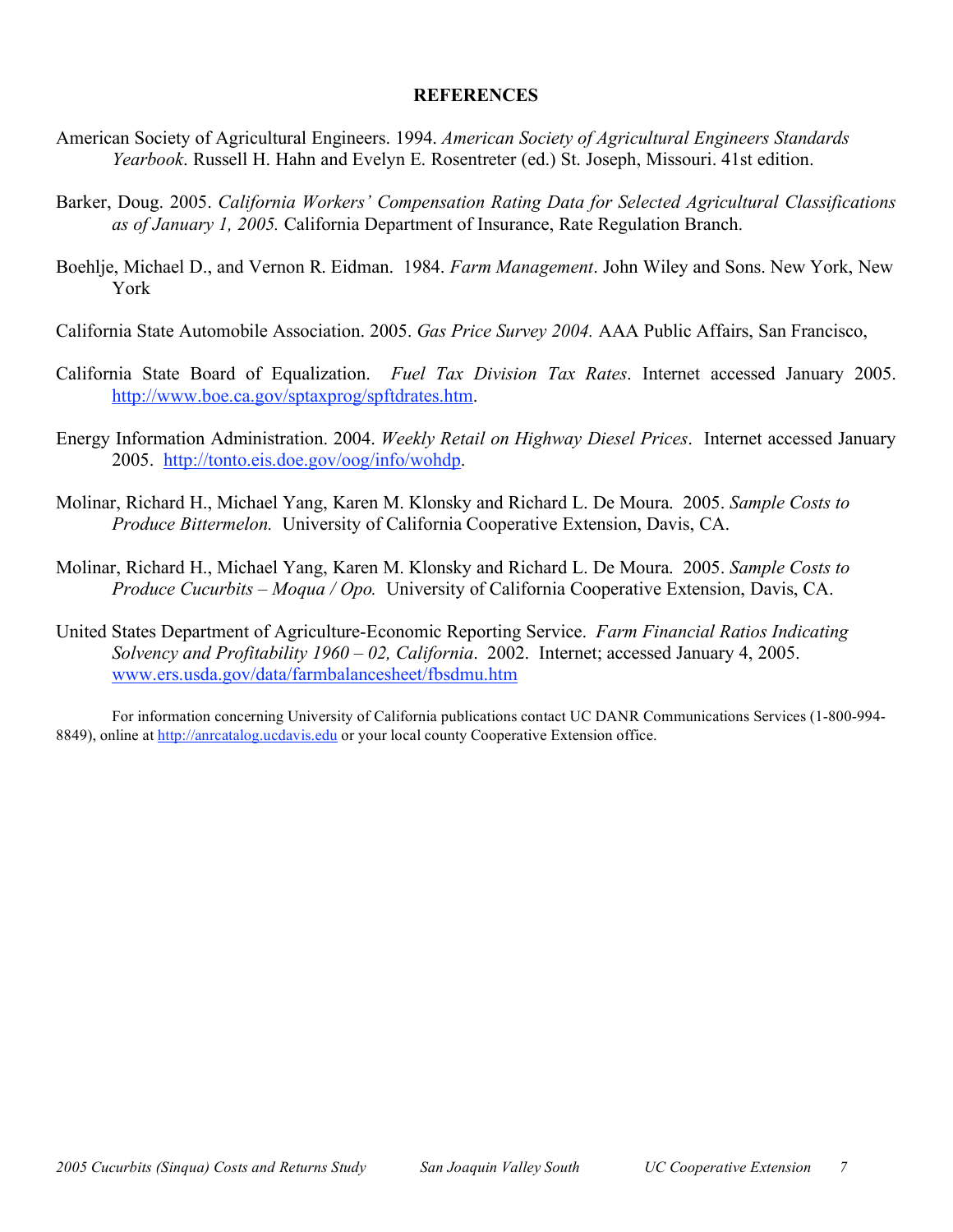## **REFERENCES**

- American Society of Agricultural Engineers. 1994. *American Society of Agricultural Engineers Standards Yearbook*. Russell H. Hahn and Evelyn E. Rosentreter (ed.) St. Joseph, Missouri. 41st edition.
- Barker, Doug. 2005. *California Workers' Compensation Rating Data for Selected Agricultural Classifications as of January 1, 2005.* California Department of Insurance, Rate Regulation Branch.
- Boehlje, Michael D., and Vernon R. Eidman. 1984. *Farm Management*. John Wiley and Sons. New York, New York
- California State Automobile Association. 2005. *Gas Price Survey 2004.* AAA Public Affairs, San Francisco,
- California State Board of Equalization. *Fuel Tax Division Tax Rates*. Internet accessed January 2005. http://www.boe.ca.gov/sptaxprog/spftdrates.htm.
- Energy Information Administration. 2004. *Weekly Retail on Highway Diesel Prices*. Internet accessed January 2005. http://tonto.eis.doe.gov/oog/info/wohdp.
- Molinar, Richard H., Michael Yang, Karen M. Klonsky and Richard L. De Moura. 2005. *Sample Costs to Produce Bittermelon.* University of California Cooperative Extension, Davis, CA.
- Molinar, Richard H., Michael Yang, Karen M. Klonsky and Richard L. De Moura. 2005. *Sample Costs to Produce Cucurbits – Moqua / Opo.* University of California Cooperative Extension, Davis, CA.
- United States Department of Agriculture-Economic Reporting Service. *Farm Financial Ratios Indicating Solvency and Profitability 1960 – 02, California*. 2002. Internet; accessed January 4, 2005. www.ers.usda.gov/data/farmbalancesheet/fbsdmu.htm

For information concerning University of California publications contact UC DANR Communications Services (1-800-994- 8849), online at http://anrcatalog.ucdavis.edu or your local county Cooperative Extension office.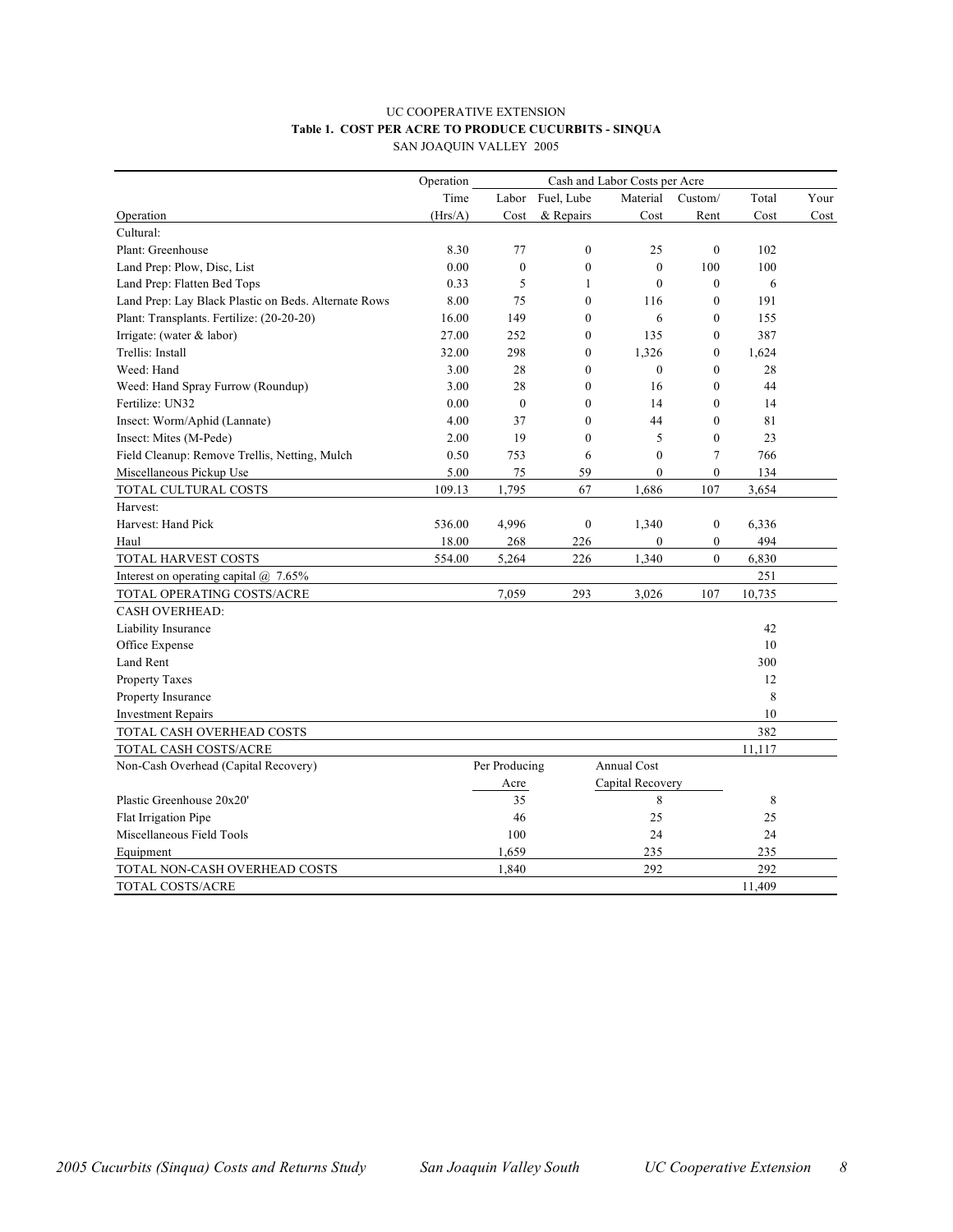#### UC COOPERATIVE EXTENSION **Table 1. COST PER ACRE TO PRODUCE CUCURBITS - SINQUA** SAN JOAQUIN VALLEY 2005

| Operation<br>Cash and Labor Costs per Acre           |         |               |                  |                    |                  |        |      |
|------------------------------------------------------|---------|---------------|------------------|--------------------|------------------|--------|------|
|                                                      | Time    | Labor         | Fuel, Lube       | Material           | Custom/          | Total  | Your |
| Operation                                            | (Hrs/A) | Cost          | & Repairs        | Cost               | Rent             | Cost   | Cost |
| Cultural:                                            |         |               |                  |                    |                  |        |      |
| Plant: Greenhouse                                    | 8.30    | 77            | $\mathbf{0}$     | 25                 | $\mathbf{0}$     | 102    |      |
| Land Prep: Plow, Disc, List                          | 0.00    | $\mathbf{0}$  | $\theta$         | $\theta$           | 100              | 100    |      |
| Land Prep: Flatten Bed Tops                          | 0.33    | 5             | 1                | $\theta$           | $\mathbf{0}$     | 6      |      |
| Land Prep: Lay Black Plastic on Beds. Alternate Rows | 8.00    | 75            | $\overline{0}$   | 116                | $\overline{0}$   | 191    |      |
| Plant: Transplants. Fertilize: (20-20-20)            | 16.00   | 149           | $\mathbf{0}$     | 6                  | $\mathbf{0}$     | 155    |      |
| Irrigate: (water & labor)                            | 27.00   | 252           | $\mathbf{0}$     | 135                | $\mathbf{0}$     | 387    |      |
| Trellis: Install                                     | 32.00   | 298           | $\boldsymbol{0}$ | 1,326              | $\mathbf{0}$     | 1,624  |      |
| Weed: Hand                                           | 3.00    | 28            | $\overline{0}$   | $\mathbf{0}$       | $\mathbf{0}$     | 28     |      |
| Weed: Hand Spray Furrow (Roundup)                    | 3.00    | 28            | $\mathbf{0}$     | 16                 | $\mathbf{0}$     | 44     |      |
| Fertilize: UN32                                      | 0.00    | $\mathbf{0}$  | $\boldsymbol{0}$ | 14                 | $\mathbf{0}$     | 14     |      |
| Insect: Worm/Aphid (Lannate)                         | 4.00    | 37            | $\mathbf{0}$     | 44                 | $\mathbf{0}$     | 81     |      |
| Insect: Mites (M-Pede)                               | 2.00    | 19            | $\mathbf{0}$     | 5                  | $\mathbf{0}$     | 23     |      |
| Field Cleanup: Remove Trellis, Netting, Mulch        | 0.50    | 753           | 6                | $\mathbf{0}$       | $\overline{7}$   | 766    |      |
| Miscellaneous Pickup Use                             | 5.00    | 75            | 59               | $\mathbf{0}$       | $\boldsymbol{0}$ | 134    |      |
| TOTAL CULTURAL COSTS                                 | 109.13  | 1,795         | 67               | 1,686              | 107              | 3,654  |      |
| Harvest:                                             |         |               |                  |                    |                  |        |      |
| Harvest: Hand Pick                                   | 536.00  | 4,996         | $\overline{0}$   | 1,340              | $\mathbf{0}$     | 6,336  |      |
| Haul                                                 | 18.00   | 268           | 226              | $\mathbf{0}$       | $\boldsymbol{0}$ | 494    |      |
| TOTAL HARVEST COSTS                                  | 554.00  | 5,264         | 226              | 1,340              | $\overline{0}$   | 6,830  |      |
| Interest on operating capital $\omega$ 7.65%         |         |               |                  |                    |                  | 251    |      |
| TOTAL OPERATING COSTS/ACRE                           |         | 7,059         | 293              | 3,026              | 107              | 10,735 |      |
| <b>CASH OVERHEAD:</b>                                |         |               |                  |                    |                  |        |      |
| Liability Insurance                                  |         |               |                  |                    |                  | 42     |      |
| Office Expense                                       |         |               |                  |                    |                  | 10     |      |
| Land Rent                                            |         |               |                  |                    |                  | 300    |      |
| <b>Property Taxes</b>                                |         |               |                  |                    |                  | 12     |      |
| Property Insurance                                   |         |               |                  |                    |                  | 8      |      |
| <b>Investment Repairs</b>                            |         |               |                  |                    |                  | 10     |      |
| TOTAL CASH OVERHEAD COSTS                            |         |               |                  |                    |                  | 382    |      |
| TOTAL CASH COSTS/ACRE                                |         |               |                  |                    |                  | 11,117 |      |
| Non-Cash Overhead (Capital Recovery)                 |         | Per Producing |                  | <b>Annual Cost</b> |                  |        |      |
|                                                      |         | Acre          |                  | Capital Recovery   |                  |        |      |
| Plastic Greenhouse 20x20'                            |         | 35            |                  | 8                  |                  | 8      |      |
| Flat Irrigation Pipe                                 |         | 46            |                  | 25                 |                  | 25     |      |
| Miscellaneous Field Tools                            |         | 100           |                  | 24                 |                  | 24     |      |
| Equipment                                            |         | 1,659         |                  | 235                |                  | 235    |      |
| TOTAL NON-CASH OVERHEAD COSTS                        |         | 1,840         |                  | 292                |                  | 292    |      |
| <b>TOTAL COSTS/ACRE</b>                              |         |               |                  |                    |                  | 11.409 |      |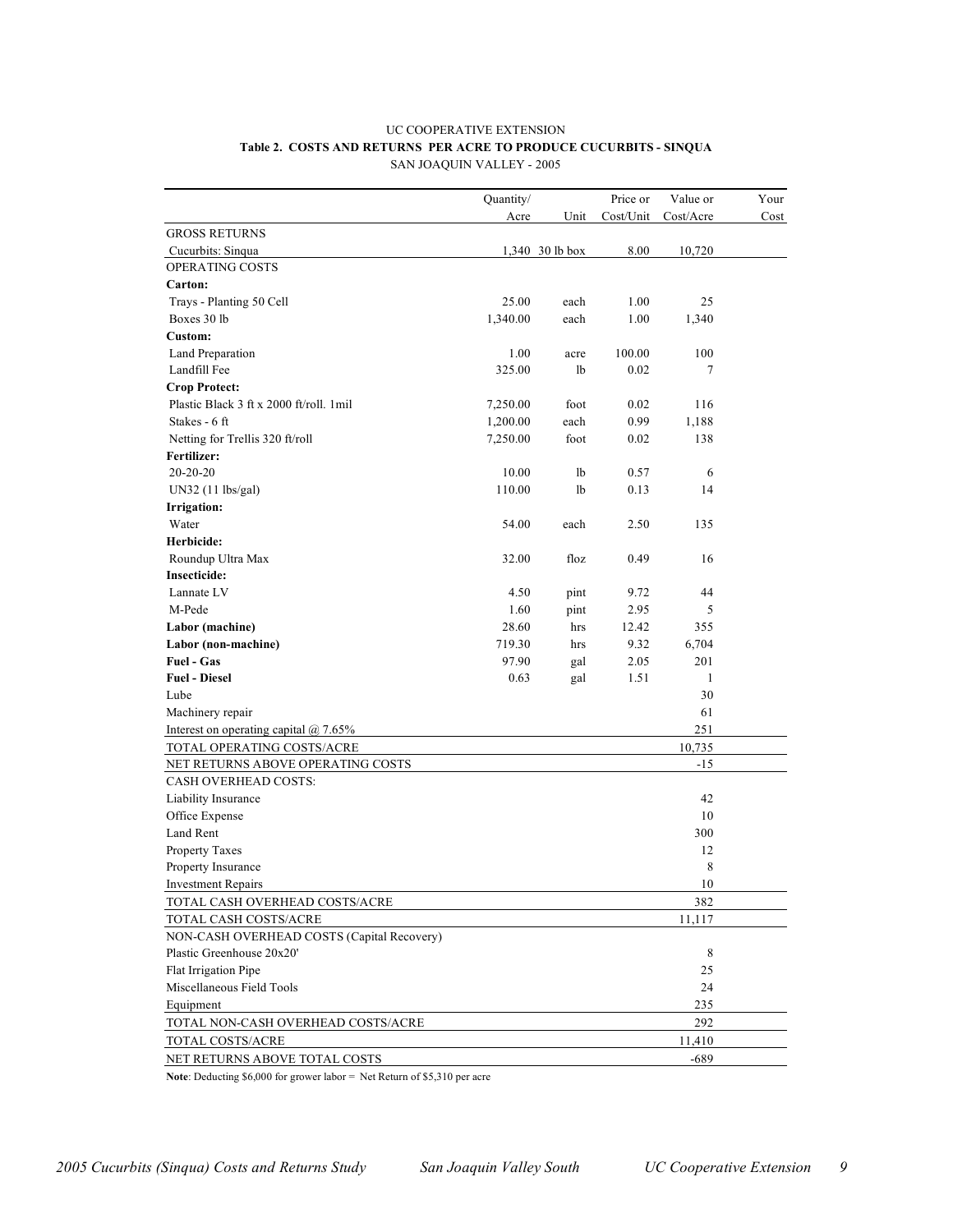#### UC COOPERATIVE EXTENSION **Table 2. COSTS AND RETURNS PER ACRE TO PRODUCE CUCURBITS - SINQUA** SAN JOAQUIN VALLEY - 2005

|                                            | Quantity/ |                 | Price or  | Value or  | Your |
|--------------------------------------------|-----------|-----------------|-----------|-----------|------|
|                                            | Acre      | Unit            | Cost/Unit | Cost/Acre | Cost |
| <b>GROSS RETURNS</b>                       |           |                 |           |           |      |
| Cucurbits: Sinqua                          |           | 1,340 30 lb box | 8.00      | 10,720    |      |
| OPERATING COSTS                            |           |                 |           |           |      |
| Carton:                                    |           |                 |           |           |      |
| Trays - Planting 50 Cell                   | 25.00     | each            | 1.00      | 25        |      |
| Boxes 30 lb                                | 1,340.00  | each            | 1.00      | 1,340     |      |
| Custom:                                    |           |                 |           |           |      |
| Land Preparation                           | 1.00      | acre            | 100.00    | 100       |      |
| Landfill Fee                               | 325.00    | lb              | 0.02      | 7         |      |
| Crop Protect:                              |           |                 |           |           |      |
| Plastic Black 3 ft x 2000 ft/roll. 1mil    | 7,250.00  | foot            | 0.02      | 116       |      |
| Stakes - 6 ft                              | 1,200.00  | each            | 0.99      | 1,188     |      |
| Netting for Trellis 320 ft/roll            | 7,250.00  | foot            | 0.02      | 138       |      |
| Fertilizer:                                |           |                 |           |           |      |
| $20-20-20$                                 | 10.00     | 1b              | 0.57      | 6         |      |
| UN32 (11 lbs/gal)                          | 110.00    | lb              | 0.13      | 14        |      |
| Irrigation:                                |           |                 |           |           |      |
| Water                                      | 54.00     | each            | 2.50      | 135       |      |
| Herbicide:                                 |           |                 |           |           |      |
| Roundup Ultra Max                          | 32.00     | floz            | 0.49      | 16        |      |
| Insecticide:                               |           |                 |           |           |      |
| Lannate LV                                 | 4.50      | pint            | 9.72      | 44        |      |
| M-Pede                                     | 1.60      | pint            | 2.95      | 5         |      |
| Labor (machine)                            | 28.60     | hrs             | 12.42     | 355       |      |
| Labor (non-machine)                        | 719.30    | hrs             | 9.32      | 6,704     |      |
| Fuel - Gas                                 | 97.90     | gal             | 2.05      | 201       |      |
| <b>Fuel - Diesel</b>                       | 0.63      | gal             | 1.51      | 1         |      |
| Lube                                       |           |                 |           | 30        |      |
| Machinery repair                           |           |                 |           | 61        |      |
| Interest on operating capital $@$ 7.65%    |           |                 |           | 251       |      |
| TOTAL OPERATING COSTS/ACRE                 |           |                 |           | 10,735    |      |
| NET RETURNS ABOVE OPERATING COSTS          |           |                 |           | $-15$     |      |
| <b>CASH OVERHEAD COSTS:</b>                |           |                 |           |           |      |
| Liability Insurance                        |           |                 |           | 42        |      |
| Office Expense                             |           |                 |           | 10        |      |
| <b>Land Rent</b>                           |           |                 |           | 300       |      |
| Property Taxes                             |           |                 |           | 12        |      |
| Property Insurance                         |           |                 |           | 8         |      |
| <b>Investment Repairs</b>                  |           |                 |           | $10\,$    |      |
| TOTAL CASH OVERHEAD COSTS/ACRE             |           |                 |           | 382       |      |
| TOTAL CASH COSTS/ACRE                      |           |                 |           | 11,117    |      |
| NON-CASH OVERHEAD COSTS (Capital Recovery) |           |                 |           |           |      |
| Plastic Greenhouse 20x20'                  |           |                 |           | 8         |      |
| Flat Irrigation Pipe                       |           |                 |           | 25        |      |
| Miscellaneous Field Tools                  |           |                 |           | 24        |      |
| Equipment                                  |           |                 |           | 235       |      |
| TOTAL NON-CASH OVERHEAD COSTS/ACRE         |           |                 |           | 292       |      |
| TOTAL COSTS/ACRE                           |           |                 |           | 11,410    |      |
| NET RETURNS ABOVE TOTAL COSTS              |           |                 |           | -689      |      |

Note: Deducting \$6,000 for grower labor = Net Return of \$5,310 per acre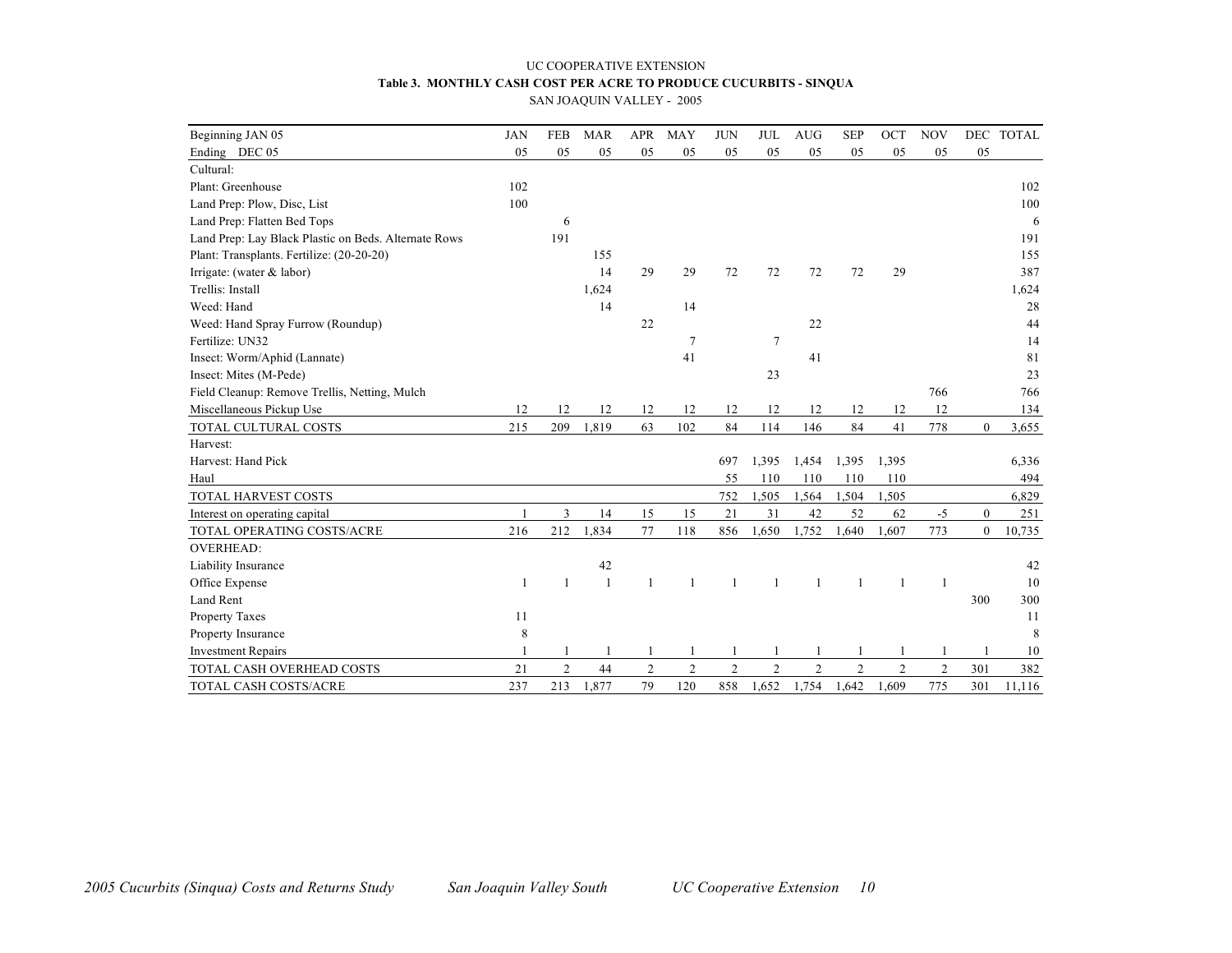## UC COOPERATIVE EXTENSION **Table 3. MONTHLY CASH COST PER ACRE TO PRODUCE CUCURBITS - SINQUA**

SAN JOAQUIN VALLEY - 2005

| Beginning JAN 05                                     | <b>JAN</b> | <b>FEB</b>     | <b>MAR</b> | <b>APR</b>     | <b>MAY</b>     | <b>JUN</b>     | <b>JUL</b>     | <b>AUG</b>     | <b>SEP</b>     | OCT            | <b>NOV</b>     |                  | DEC TOTAL |
|------------------------------------------------------|------------|----------------|------------|----------------|----------------|----------------|----------------|----------------|----------------|----------------|----------------|------------------|-----------|
| Ending DEC 05                                        | 05         | 05             | 05         | 05             | 05             | 05             | 05             | 05             | 05             | 05             | 05             | 05               |           |
| Cultural:                                            |            |                |            |                |                |                |                |                |                |                |                |                  |           |
| Plant: Greenhouse                                    | 102        |                |            |                |                |                |                |                |                |                |                |                  | 102       |
| Land Prep: Plow, Disc, List                          | 100        |                |            |                |                |                |                |                |                |                |                |                  | 100       |
| Land Prep: Flatten Bed Tops                          |            | 6              |            |                |                |                |                |                |                |                |                |                  | 6         |
| Land Prep: Lay Black Plastic on Beds. Alternate Rows |            | 191            |            |                |                |                |                |                |                |                |                |                  | 191       |
| Plant: Transplants. Fertilize: (20-20-20)            |            |                | 155        |                |                |                |                |                |                |                |                |                  | 155       |
| Irrigate: (water & labor)                            |            |                | 14         | 29             | 29             | 72             | 72             | 72             | 72             | 29             |                |                  | 387       |
| Trellis: Install                                     |            |                | 1,624      |                |                |                |                |                |                |                |                |                  | 1,624     |
| Weed: Hand                                           |            |                | 14         |                | 14             |                |                |                |                |                |                |                  | 28        |
| Weed: Hand Spray Furrow (Roundup)                    |            |                |            | 22             |                |                |                | 22             |                |                |                |                  | 44        |
| Fertilize: UN32                                      |            |                |            |                | 7              |                | $\overline{7}$ |                |                |                |                |                  | 14        |
| Insect: Worm/Aphid (Lannate)                         |            |                |            |                | 41             |                |                | 41             |                |                |                |                  | 81        |
| Insect: Mites (M-Pede)                               |            |                |            |                |                |                | 23             |                |                |                |                |                  | 23        |
| Field Cleanup: Remove Trellis, Netting, Mulch        |            |                |            |                |                |                |                |                |                |                | 766            |                  | 766       |
| Miscellaneous Pickup Use                             | 12         | 12             | 12         | 12             | 12             | 12             | 12             | 12             | 12             | 12             | 12             |                  | 134       |
| TOTAL CULTURAL COSTS                                 | 215        | 209            | 1,819      | 63             | 102            | 84             | 114            | 146            | 84             | 41             | 778            | $\theta$         | 3,655     |
| Harvest:                                             |            |                |            |                |                |                |                |                |                |                |                |                  |           |
| Harvest: Hand Pick                                   |            |                |            |                |                | 697            | 1,395          | 1,454          | 1,395          | 1,395          |                |                  | 6,336     |
| Haul                                                 |            |                |            |                |                | 55             | 110            | 110            | 110            | 110            |                |                  | 494       |
| TOTAL HARVEST COSTS                                  |            |                |            |                |                | 752            | 1,505          | 1,564          | 1,504          | 1,505          |                |                  | 6,829     |
| Interest on operating capital                        |            | 3              | 14         | 15             | 15             | 21             | 31             | 42             | 52             | 62             | $-5$           | $\boldsymbol{0}$ | 251       |
| TOTAL OPERATING COSTS/ACRE                           | 216        | 212            | 1,834      | 77             | 118            | 856            | 1,650          | 1,752          | 1,640          | 1,607          | 773            | $\boldsymbol{0}$ | 10,735    |
| <b>OVERHEAD:</b>                                     |            |                |            |                |                |                |                |                |                |                |                |                  |           |
| Liability Insurance                                  |            |                | 42         |                |                |                |                |                |                |                |                |                  | 42        |
| Office Expense                                       | 1          | 1              | -1         |                | 1              | $\mathbf{1}$   | -1             |                | $\mathbf{1}$   | $\mathbf{1}$   | $\overline{1}$ |                  | 10        |
| Land Rent                                            |            |                |            |                |                |                |                |                |                |                |                | 300              | 300       |
| Property Taxes                                       | 11         |                |            |                |                |                |                |                |                |                |                |                  | 11        |
| Property Insurance                                   | 8          |                |            |                |                |                |                |                |                |                |                |                  | 8         |
| <b>Investment Repairs</b>                            |            |                |            |                |                |                |                |                |                |                |                |                  | 10        |
| TOTAL CASH OVERHEAD COSTS                            | 21         | $\overline{c}$ | 44         | $\overline{c}$ | $\overline{c}$ | $\overline{c}$ | $\overline{2}$ | $\overline{2}$ | $\overline{2}$ | $\overline{c}$ | 2              | 301              | 382       |
| TOTAL CASH COSTS/ACRE                                | 237        | 213            | 1,877      | 79             | 120            | 858            | 1,652          | 1,754          | 1,642          | 1,609          | 775            | 301              | 11,116    |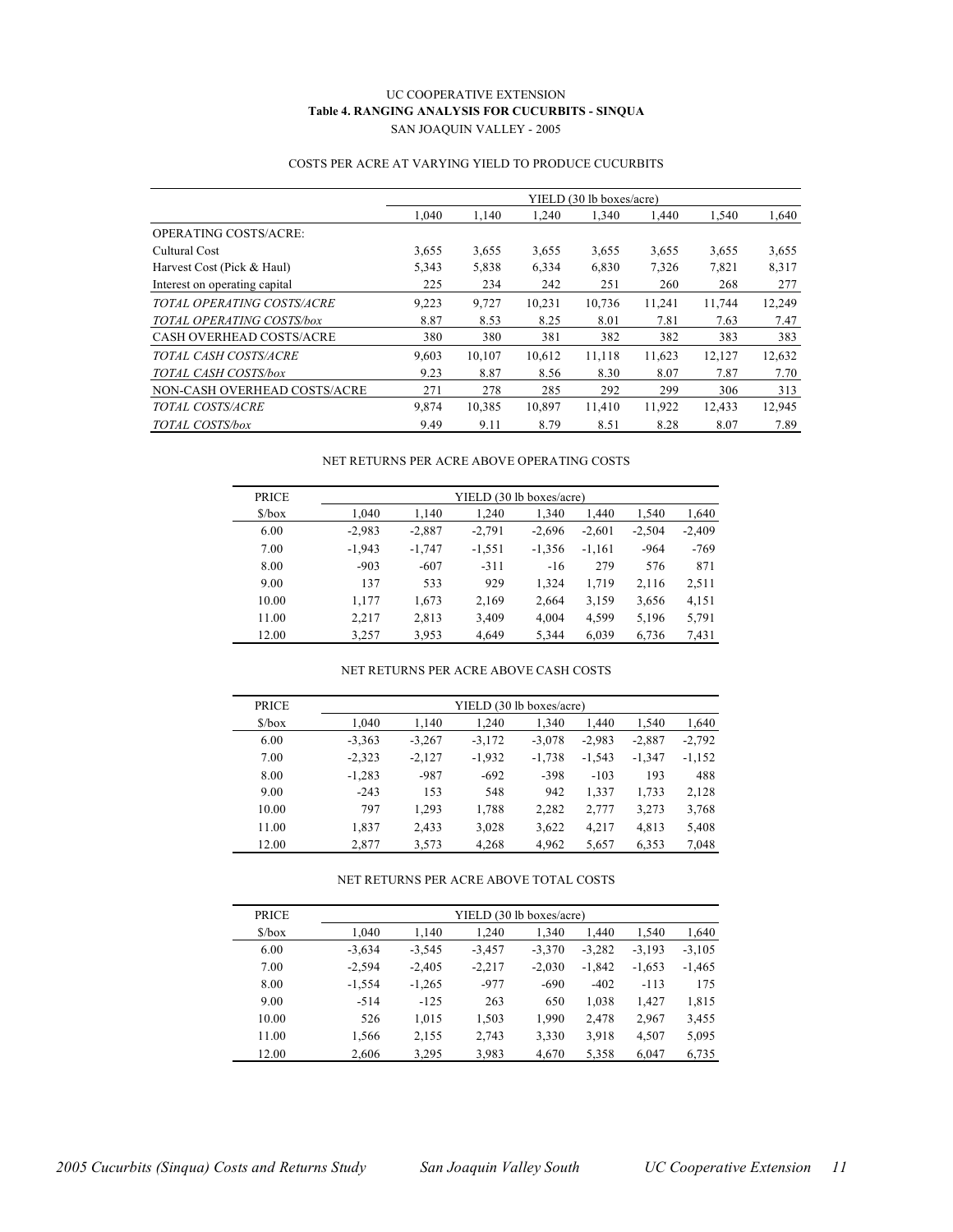### UC COOPERATIVE EXTENSION **Table 4. RANGING ANALYSIS FOR CUCURBITS - SINQUA** SAN JOAQUIN VALLEY - 2005

#### COSTS PER ACRE AT VARYING YIELD TO PRODUCE CUCURBITS

|                                 |       |        |        | YIELD (30 lb boxes/acre) |        |        |        |
|---------------------------------|-------|--------|--------|--------------------------|--------|--------|--------|
|                                 | 1.040 | 1,140  | 1,240  | 1,340                    | 1,440  | 1,540  | 1,640  |
| <b>OPERATING COSTS/ACRE:</b>    |       |        |        |                          |        |        |        |
| Cultural Cost                   | 3,655 | 3,655  | 3,655  | 3,655                    | 3,655  | 3,655  | 3,655  |
| Harvest Cost (Pick & Haul)      | 5,343 | 5,838  | 6,334  | 6,830                    | 7,326  | 7,821  | 8,317  |
| Interest on operating capital   | 225   | 234    | 242    | 251                      | 260    | 268    | 277    |
| TOTAL OPERATING COSTS/ACRE      | 9,223 | 9,727  | 10.231 | 10,736                   | 11,241 | 11,744 | 12,249 |
| TOTAL OPERATING COSTS/box       | 8.87  | 8.53   | 8.25   | 8.01                     | 7.81   | 7.63   | 7.47   |
| <b>CASH OVERHEAD COSTS/ACRE</b> | 380   | 380    | 381    | 382                      | 382    | 383    | 383    |
| TOTAL CASH COSTS/ACRE           | 9.603 | 10.107 | 10,612 | 11,118                   | 11,623 | 12,127 | 12,632 |
| TOTAL CASH COSTS/box            | 9.23  | 8.87   | 8.56   | 8.30                     | 8.07   | 7.87   | 7.70   |
| NON-CASH OVERHEAD COSTS/ACRE    | 271   | 278    | 285    | 292                      | 299    | 306    | 313    |
| TOTAL COSTS/ACRE                | 9.874 | 10,385 | 10,897 | 11,410                   | 11,922 | 12,433 | 12,945 |
| TOTAL COSTS/box                 | 9.49  | 9.11   | 8.79   | 8.51                     | 8.28   | 8.07   | 7.89   |

#### NET RETURNS PER ACRE ABOVE OPERATING COSTS

| <b>PRICE</b>                  | YIELD (30 lb boxes/acre) |          |          |          |          |          |          |  |  |  |
|-------------------------------|--------------------------|----------|----------|----------|----------|----------|----------|--|--|--|
| $\frac{\text{S}}{\text{Dox}}$ | 1.040                    | 1,140    | 1.240    | 1.340    | 1.440    | 1,540    | 1,640    |  |  |  |
| 6.00                          | $-2,983$                 | $-2,887$ | $-2,791$ | $-2,696$ | $-2,601$ | $-2.504$ | $-2,409$ |  |  |  |
| 7.00                          | $-1.943$                 | $-1.747$ | $-1,551$ | $-1,356$ | $-1,161$ | $-964$   | $-769$   |  |  |  |
| 8.00                          | $-903$                   | $-607$   | $-311$   | $-16$    | 279      | 576      | 871      |  |  |  |
| 9.00                          | 137                      | 533      | 929      | 1,324    | 1,719    | 2,116    | 2,511    |  |  |  |
| 10.00                         | 1,177                    | 1,673    | 2,169    | 2,664    | 3,159    | 3,656    | 4,151    |  |  |  |
| 11.00                         | 2,217                    | 2,813    | 3.409    | 4,004    | 4,599    | 5,196    | 5,791    |  |  |  |
| 12.00                         | 3,257                    | 3,953    | 4,649    | 5,344    | 6,039    | 6,736    | 7.431    |  |  |  |

#### NET RETURNS PER ACRE ABOVE CASH COSTS

| <b>PRICE</b>                  |          |          | YIELD (30 lb boxes/acre) |          |          |          |          |
|-------------------------------|----------|----------|--------------------------|----------|----------|----------|----------|
| $\frac{\text{S}}{\text{box}}$ | 1.040    | 1,140    | 1.240                    | 1.340    | 1.440    | 1,540    | 1,640    |
| 6.00                          | $-3,363$ | $-3.267$ | $-3,172$                 | $-3,078$ | $-2,983$ | $-2,887$ | $-2,792$ |
| 7.00                          | $-2,323$ | $-2,127$ | $-1,932$                 | $-1,738$ | $-1,543$ | $-1,347$ | $-1,152$ |
| 8.00                          | $-1,283$ | $-987$   | $-692$                   | $-398$   | $-103$   | 193      | 488      |
| 9.00                          | $-243$   | 153      | 548                      | 942      | 1,337    | 1,733    | 2,128    |
| 10.00                         | 797      | 1.293    | 1,788                    | 2,282    | 2,777    | 3,273    | 3,768    |
| 11.00                         | 1,837    | 2,433    | 3,028                    | 3,622    | 4,217    | 4,813    | 5,408    |
| 12.00                         | 2,877    | 3,573    | 4,268                    | 4,962    | 5,657    | 6,353    | 7,048    |

#### NET RETURNS PER ACRE ABOVE TOTAL COSTS

| <b>PRICE</b>                  |          |          | YIELD (30 lb boxes/acre) |          |          |          |          |
|-------------------------------|----------|----------|--------------------------|----------|----------|----------|----------|
| $\frac{\text{S}}{\text{box}}$ | 1.040    | 1,140    | 1.240                    | 1.340    | 1,440    | 1,540    | 1,640    |
| 6.00                          | $-3,634$ | $-3,545$ | $-3,457$                 | $-3,370$ | $-3,282$ | $-3,193$ | $-3,105$ |
| 7.00                          | $-2,594$ | $-2,405$ | $-2,217$                 | $-2,030$ | $-1,842$ | $-1,653$ | $-1,465$ |
| 8.00                          | $-1,554$ | $-1,265$ | $-977$                   | $-690$   | $-402$   | $-113$   | 175      |
| 9.00                          | $-514$   | $-125$   | 263                      | 650      | 1,038    | 1,427    | 1,815    |
| 10.00                         | 526      | 1,015    | 1,503                    | 1,990    | 2,478    | 2,967    | 3,455    |
| 11.00                         | 1,566    | 2,155    | 2,743                    | 3,330    | 3,918    | 4,507    | 5,095    |
| 12.00                         | 2,606    | 3,295    | 3.983                    | 4,670    | 5,358    | 6,047    | 6,735    |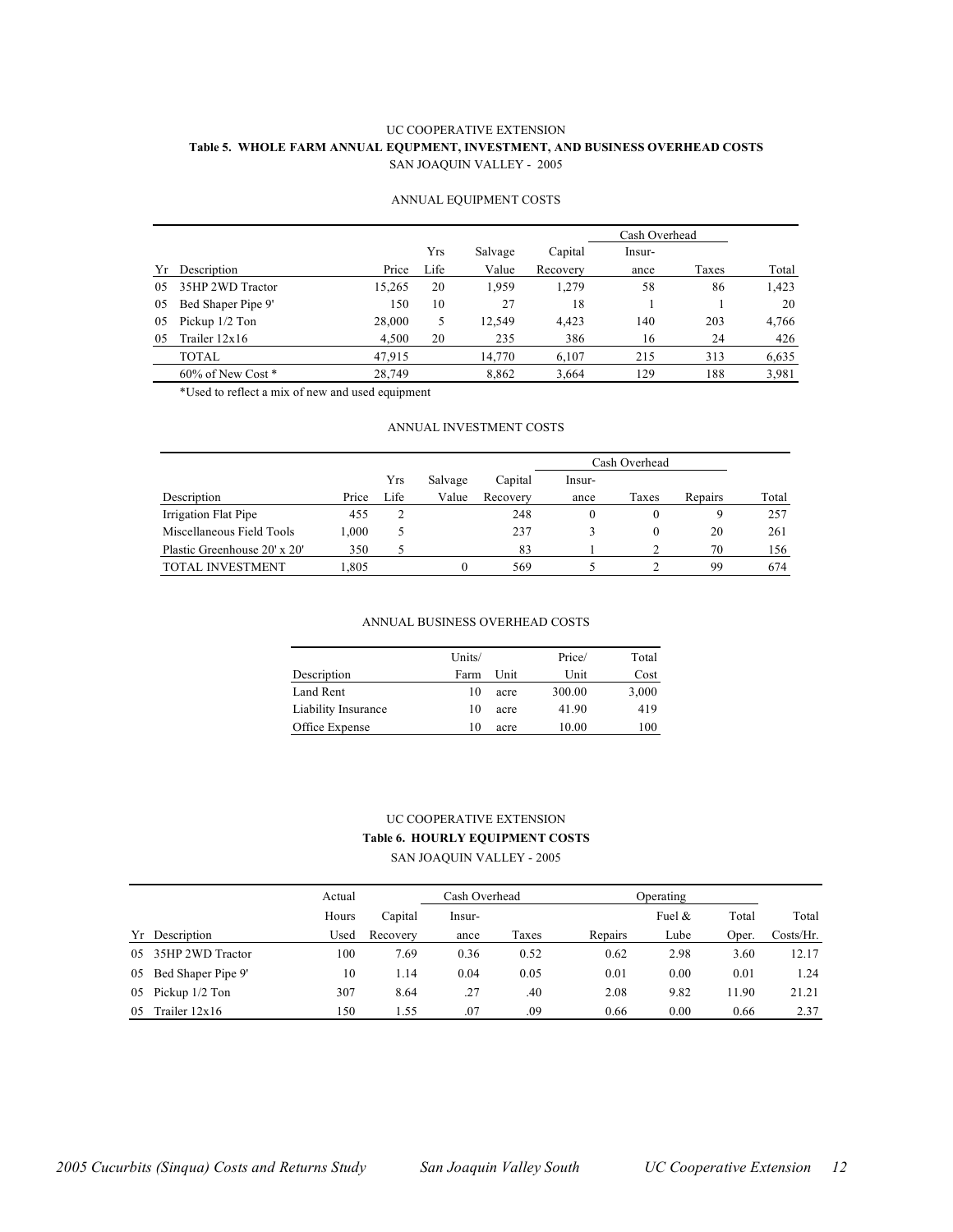### UC COOPERATIVE EXTENSION **Table 5. WHOLE FARM ANNUAL EQUPMENT, INVESTMENT, AND BUSINESS OVERHEAD COSTS** SAN JOAQUIN VALLEY - 2005

#### ANNUAL EQUIPMENT COSTS

|     |                        |        |      |         |          | Cash Overhead |       |       |
|-----|------------------------|--------|------|---------|----------|---------------|-------|-------|
|     |                        |        | Yrs  | Salvage | Capital  | Insur-        |       |       |
| Yr  | Description            | Price  | Life | Value   | Recovery | ance          | Taxes | Total |
| 0.5 | 35HP 2WD Tractor       | 15,265 | 20   | 1.959   | 1,279    | 58            | 86    | 1,423 |
| 05  | Bed Shaper Pipe 9'     | 150    | 10   | 27      | 18       |               |       | 20    |
| 05  | Pickup 1/2 Ton         | 28,000 | 5    | 12,549  | 4,423    | 140           | 203   | 4,766 |
| 05  | Trailer $12x16$        | 4,500  | 20   | 235     | 386      | 16            | 24    | 426   |
|     | TOTAL                  | 47,915 |      | 14,770  | 6.107    | 215           | 313   | 6,635 |
|     | $60\%$ of New Cost $*$ | 28.749 |      | 8,862   | 3,664    | 129           | 188   | 3,981 |

\*Used to reflect a mix of new and used equipment

### ANNUAL INVESTMENT COSTS

|                              |       |      |         |          | Cash Overhead |          |         |       |
|------------------------------|-------|------|---------|----------|---------------|----------|---------|-------|
|                              |       | Yrs  | Salvage | Capital  | lnsur-        |          |         |       |
| Description                  | Price | Life | Value   | Recovery | ance          | Taxes    | Repairs | Total |
| Irrigation Flat Pipe         | 455   |      |         | 248      |               | $\theta$ | 9       | 257   |
| Miscellaneous Field Tools    | 1,000 | ر    |         | 237      |               | $^{0}$   | 20      | 261   |
| Plastic Greenhouse 20' x 20' | 350   |      |         | 83       |               |          | 70      | 156   |
| <b>TOTAL INVESTMENT</b>      | .805  |      | 0       | 569      |               |          | 99      | 674   |

#### ANNUAL BUSINESS OVERHEAD COSTS

|                     | Units/ |      | Price/ | Total |
|---------------------|--------|------|--------|-------|
| Description         | Farm   | Unit | Unit   | Cost  |
| Land Rent           | 10     | acre | 300.00 | 3,000 |
| Liability Insurance | 10     | acre | 41.90  | 419   |
| Office Expense      | 10     | acre | 10.00  | 100   |

## UC COOPERATIVE EXTENSION **Table 6. HOURLY EQUIPMENT COSTS**

SAN JOAQUIN VALLEY - 2005

|     |                    | Actual |          | Cash Overhead |       | Operating |           |       |           |
|-----|--------------------|--------|----------|---------------|-------|-----------|-----------|-------|-----------|
|     |                    | Hours  | Capital  | Insur-        |       |           | Fuel $\&$ | Total | Total     |
|     | Yr Description     | Used   | Recovery | ance          | Taxes | Repairs   | Lube      | Oper. | Costs/Hr. |
| 0.5 | 35HP 2WD Tractor   | 100    | 7.69     | 0.36          | 0.52  | 0.62      | 2.98      | 3.60  | 12.17     |
| 05  | Bed Shaper Pipe 9' | 10     | 1.14     | 0.04          | 0.05  | 0.01      | 0.00      | 0.01  | 1.24      |
| 05  | Pickup 1/2 Ton     | 307    | 8.64     | .27           | .40   | 2.08      | 9.82      | 11.90 | 21.21     |
| 05  | Trailer $12x16$    | 150    | 1.55     | .07           | .09   | 0.66      | 0.00      | 0.66  | 2.37      |